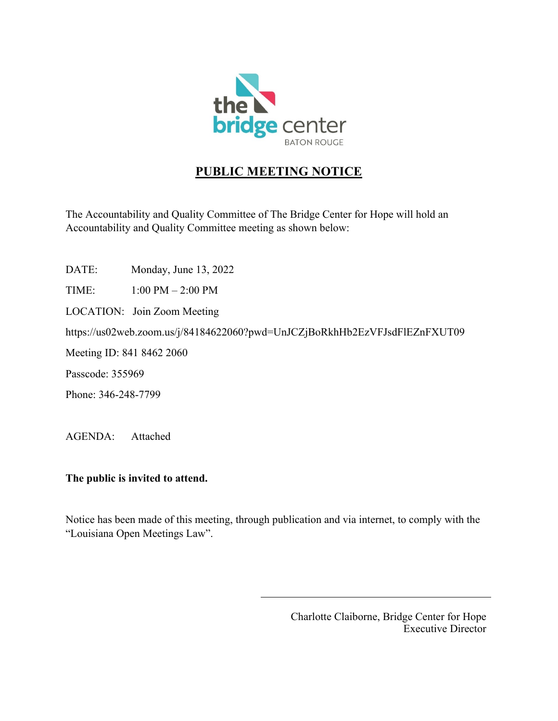

# **PUBLIC MEETING NOTICE**

The Accountability and Quality Committee of The Bridge Center for Hope will hold an Accountability and Quality Committee meeting as shown below:

DATE: Monday, June 13, 2022

TIME: 1:00 PM – 2:00 PM

LOCATION: Join Zoom Meeting

https://us02web.zoom.us/j/84184622060?pwd=UnJCZjBoRkhHb2EzVFJsdFlEZnFXUT09

Meeting ID: 841 8462 2060

Passcode: 355969

Phone: 346-248-7799

AGENDA: Attached

### **The public is invited to attend.**

Notice has been made of this meeting, through publication and via internet, to comply with the "Louisiana Open Meetings Law".

> Charlotte Claiborne, Bridge Center for Hope Executive Director